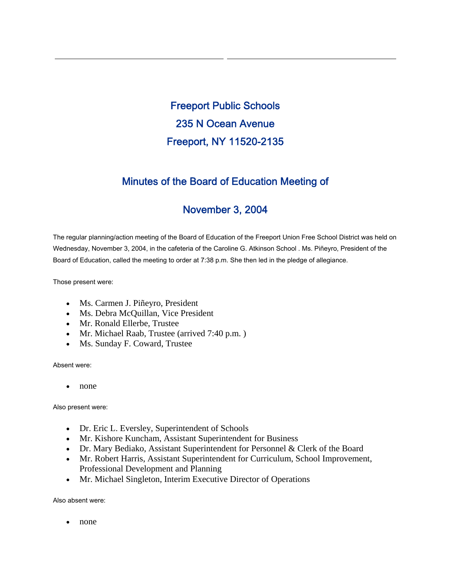Freeport Public Schools 235 N Ocean Avenue Freeport, NY 11520-2135

## Minutes of the Board of Education Meeting of

# November 3, 2004

The regular planning/action meeting of the Board of Education of the Freeport Union Free School District was held on Wednesday, November 3, 2004, in the cafeteria of the Caroline G. Atkinson School . Ms. Piñeyro, President of the Board of Education, called the meeting to order at 7:38 p.m. She then led in the pledge of allegiance.

Those present were:

- Ms. Carmen J. Piñeyro, President
- Ms. Debra McQuillan, Vice President
- Mr. Ronald Ellerbe, Trustee
- Mr. Michael Raab, Trustee (arrived 7:40 p.m.)
- Ms. Sunday F. Coward, Trustee

Absent were:

• none

Also present were:

- Dr. Eric L. Eversley, Superintendent of Schools
- Mr. Kishore Kuncham, Assistant Superintendent for Business
- Dr. Mary Bediako, Assistant Superintendent for Personnel & Clerk of the Board
- Mr. Robert Harris, Assistant Superintendent for Curriculum, School Improvement, Professional Development and Planning
- Mr. Michael Singleton, Interim Executive Director of Operations

Also absent were:

• none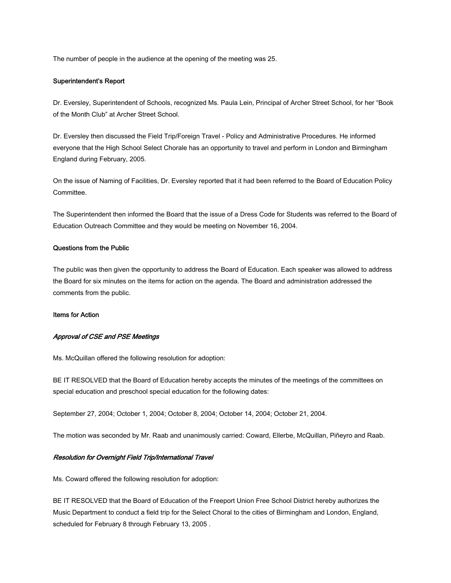The number of people in the audience at the opening of the meeting was 25.

#### Superintendent's Report

Dr. Eversley, Superintendent of Schools, recognized Ms. Paula Lein, Principal of Archer Street School, for her "Book of the Month Club" at Archer Street School.

Dr. Eversley then discussed the Field Trip/Foreign Travel - Policy and Administrative Procedures. He informed everyone that the High School Select Chorale has an opportunity to travel and perform in London and Birmingham England during February, 2005.

On the issue of Naming of Facilities, Dr. Eversley reported that it had been referred to the Board of Education Policy Committee.

The Superintendent then informed the Board that the issue of a Dress Code for Students was referred to the Board of Education Outreach Committee and they would be meeting on November 16, 2004.

### Questions from the Public

The public was then given the opportunity to address the Board of Education. Each speaker was allowed to address the Board for six minutes on the items for action on the agenda. The Board and administration addressed the comments from the public.

### Items for Action

## Approval of CSE and PSE Meetings

Ms. McQuillan offered the following resolution for adoption:

BE IT RESOLVED that the Board of Education hereby accepts the minutes of the meetings of the committees on special education and preschool special education for the following dates:

September 27, 2004; October 1, 2004; October 8, 2004; October 14, 2004; October 21, 2004.

The motion was seconded by Mr. Raab and unanimously carried: Coward, Ellerbe, McQuillan, Piñeyro and Raab.

## Resolution for Overnight Field Trip/International Travel

Ms. Coward offered the following resolution for adoption:

BE IT RESOLVED that the Board of Education of the Freeport Union Free School District hereby authorizes the Music Department to conduct a field trip for the Select Choral to the cities of Birmingham and London, England, scheduled for February 8 through February 13, 2005 .